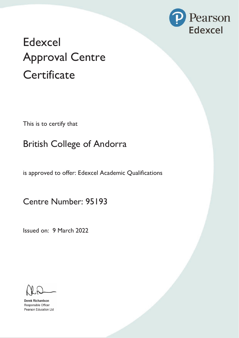

## **Edexcel Approval Centre** Cer**tificate**

This is to certify that

British College of Andorra

is approved to offer: Edexcel Academic Qualifications

**Centre Number:** 95193

Issued on: 9 March 2022

**Derek Richardson** Responsible Officer Pearson Education Ltd